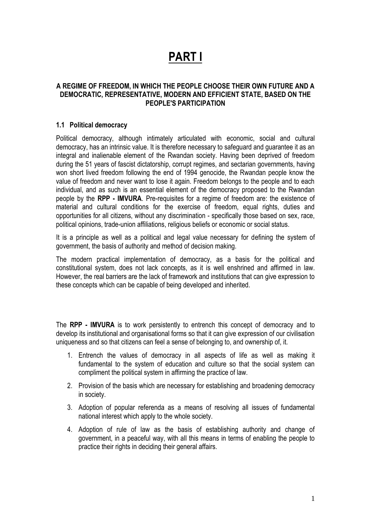# **PART I**

### **A REGIME OF FREEDOM, IN WHICH THE PEOPLE CHOOSE THEIR OWN FUTURE AND A DEMOCRATIC, REPRESENTATIVE, MODERN AND EFFICIENT STATE, BASED ON THE PEOPLE'S PARTICIPATION**

### **1.1 Political democracy**

Political democracy, although intimately articulated with economic, social and cultural democracy, has an intrinsic value. It is therefore necessary to safeguard and guarantee it as an integral and inalienable element of the Rwandan society. Having been deprived of freedom during the 51 years of fascist dictatorship, corrupt regimes, and sectarian governments, having won short lived freedom following the end of 1994 genocide, the Rwandan people know the value of freedom and never want to lose it again. Freedom belongs to the people and to each individual, and as such is an essential element of the democracy proposed to the Rwandan people by the **RPP - IMVURA**. Pre-requisites for a regime of freedom are: the existence of material and cultural conditions for the exercise of freedom, equal rights, duties and opportunities for all citizens, without any discrimination - specifically those based on sex, race, political opinions, trade-union affiliations, religious beliefs or economic or social status.

It is a principle as well as a political and legal value necessary for defining the system of government, the basis of authority and method of decision making.

The modern practical implementation of democracy, as a basis for the political and constitutional system, does not lack concepts, as it is well enshrined and affirmed in law. However, the real barriers are the lack of framework and institutions that can give expression to these concepts which can be capable of being developed and inherited.

The **RPP - IMVURA** is to work persistently to entrench this concept of democracy and to develop its institutional and organisational forms so that it can give expression of our civilisation uniqueness and so that citizens can feel a sense of belonging to, and ownership of, it.

- 1. Entrench the values of democracy in all aspects of life as well as making it fundamental to the system of education and culture so that the social system can compliment the political system in affirming the practice of law.
- 2. Provision of the basis which are necessary for establishing and broadening democracy in society.
- 3. Adoption of popular referenda as a means of resolving all issues of fundamental national interest which apply to the whole society.
- 4. Adoption of rule of law as the basis of establishing authority and change of government, in a peaceful way, with all this means in terms of enabling the people to practice their rights in deciding their general affairs.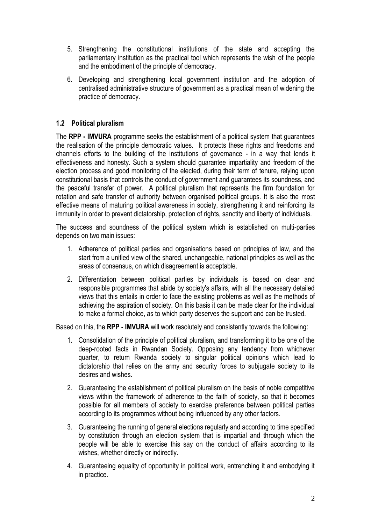- 5. Strengthening the constitutional institutions of the state and accepting the parliamentary institution as the practical tool which represents the wish of the people and the embodiment of the principle of democracy.
- 6. Developing and strengthening local government institution and the adoption of centralised administrative structure of government as a practical mean of widening the practice of democracy.

# **1.2 Political pluralism**

The **RPP - IMVURA** programme seeks the establishment of a political system that guarantees the realisation of the principle democratic values. It protects these rights and freedoms and channels efforts to the building of the institutions of governance - in a way that lends it effectiveness and honesty. Such a system should guarantee impartiality and freedom of the election process and good monitoring of the elected, during their term of tenure, relying upon constitutional basis that controls the conduct of government and guarantees its soundness, and the peaceful transfer of power. A political pluralism that represents the firm foundation for rotation and safe transfer of authority between organised political groups. It is also the most effective means of maturing political awareness in society, strengthening it and reinforcing its immunity in order to prevent dictatorship, protection of rights, sanctity and liberty of individuals.

The success and soundness of the political system which is established on multi-parties depends on two main issues:

- 1. Adherence of political parties and organisations based on principles of law, and the start from a unified view of the shared, unchangeable, national principles as well as the areas of consensus, on which disagreement is acceptable.
- 2. Differentiation between political parties by individuals is based on clear and responsible programmes that abide by society's affairs, with all the necessary detailed views that this entails in order to face the existing problems as well as the methods of achieving the aspiration of society. On this basis it can be made clear for the individual to make a formal choice, as to which party deserves the support and can be trusted.

Based on this, the **RPP - IMVURA** will work resolutely and consistently towards the following:

- 1. Consolidation of the principle of political pluralism, and transforming it to be one of the deep-rooted facts in Rwandan Society. Opposing any tendency from whichever quarter, to return Rwanda society to singular political opinions which lead to dictatorship that relies on the army and security forces to subjugate society to its desires and wishes.
- 2. Guaranteeing the establishment of political pluralism on the basis of noble competitive views within the framework of adherence to the faith of society, so that it becomes possible for all members of society to exercise preference between political parties according to its programmes without being influenced by any other factors.
- 3. Guaranteeing the running of general elections regularly and according to time specified by constitution through an election system that is impartial and through which the people will be able to exercise this say on the conduct of affairs according to its wishes, whether directly or indirectly.
- 4. Guaranteeing equality of opportunity in political work, entrenching it and embodying it in practice.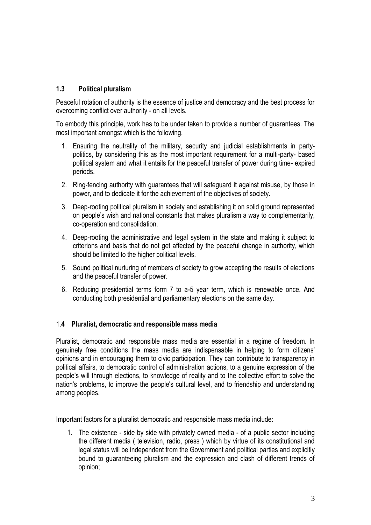# **1.3 Political pluralism**

Peaceful rotation of authority is the essence of justice and democracy and the best process for overcoming conflict over authority - on all levels.

To embody this principle, work has to be under taken to provide a number of guarantees. The most important amongst which is the following.

- 1. Ensuring the neutrality of the military, security and judicial establishments in partypolitics, by considering this as the most important requirement for a multi-party- based political system and what it entails for the peaceful transfer of power during time- expired periods.
- 2. Ring-fencing authority with guarantees that will safeguard it against misuse, by those in power, and to dedicate it for the achievement of the objectives of society.
- 3. Deep-rooting political pluralism in society and establishing it on solid ground represented on people's wish and national constants that makes pluralism a way to complementarily, co-operation and consolidation.
- 4. Deep-rooting the administrative and legal system in the state and making it subject to criterions and basis that do not get affected by the peaceful change in authority, which should be limited to the higher political levels.
- 5. Sound political nurturing of members of society to grow accepting the results of elections and the peaceful transfer of power.
- 6. Reducing presidential terms form 7 to a-5 year term, which is renewable once. And conducting both presidential and parliamentary elections on the same day.

## 1.**4 Pluralist, democratic and responsible mass media**

Pluralist, democratic and responsible mass media are essential in a regime of freedom. In genuinely free conditions the mass media are indispensable in helping to form citizens' opinions and in encouraging them to civic participation. They can contribute to transparency in political affairs, to democratic control of administration actions, to a genuine expression of the people's will through elections, to knowledge of reality and to the collective effort to solve the nation's problems, to improve the people's cultural level, and to friendship and understanding among peoples.

Important factors for a pluralist democratic and responsible mass media include:

1. The existence - side by side with privately owned media - of a public sector including the different media ( television, radio, press ) which by virtue of its constitutional and legal status will be independent from the Government and political parties and explicitly bound to guaranteeing pluralism and the expression and clash of different trends of opinion;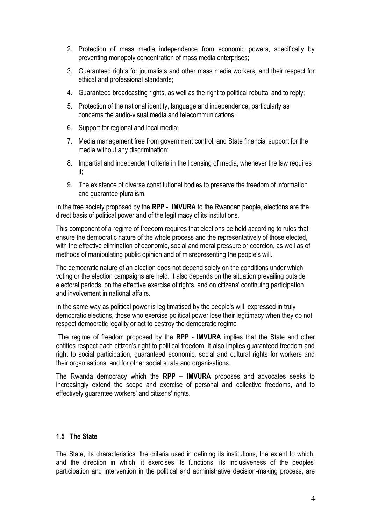- 2. Protection of mass media independence from economic powers, specifically by preventing monopoly concentration of mass media enterprises;
- 3. Guaranteed rights for journalists and other mass media workers, and their respect for ethical and professional standards;
- 4. Guaranteed broadcasting rights, as well as the right to political rebuttal and to reply;
- 5. Protection of the national identity, language and independence, particularly as concerns the audio-visual media and telecommunications;
- 6. Support for regional and local media;
- 7. Media management free from government control, and State financial support for the media without any discrimination;
- 8. Impartial and independent criteria in the licensing of media, whenever the law requires it;
- 9. The existence of diverse constitutional bodies to preserve the freedom of information and guarantee pluralism.

In the free society proposed by the **RPP - IMVURA** to the Rwandan people, elections are the direct basis of political power and of the legitimacy of its institutions.

This component of a regime of freedom requires that elections be held according to rules that ensure the democratic nature of the whole process and the representatively of those elected, with the effective elimination of economic, social and moral pressure or coercion, as well as of methods of manipulating public opinion and of misrepresenting the people's will.

The democratic nature of an election does not depend solely on the conditions under which voting or the election campaigns are held. It also depends on the situation prevailing outside electoral periods, on the effective exercise of rights, and on citizens' continuing participation and involvement in national affairs.

In the same way as political power is legitimatised by the people's will, expressed in truly democratic elections, those who exercise political power lose their legitimacy when they do not respect democratic legality or act to destroy the democratic regime

The regime of freedom proposed by the **RPP - IMVURA** implies that the State and other entities respect each citizen's right to political freedom. It also implies guaranteed freedom and right to social participation, guaranteed economic, social and cultural rights for workers and their organisations, and for other social strata and organisations.

The Rwanda democracy which the **RPP – IMVURA** proposes and advocates seeks to increasingly extend the scope and exercise of personal and collective freedoms, and to effectively guarantee workers' and citizens' rights.

#### **1.5 The State**

The State, its characteristics, the criteria used in defining its institutions, the extent to which, and the direction in which, it exercises its functions, its inclusiveness of the peoples' participation and intervention in the political and administrative decision-making process, are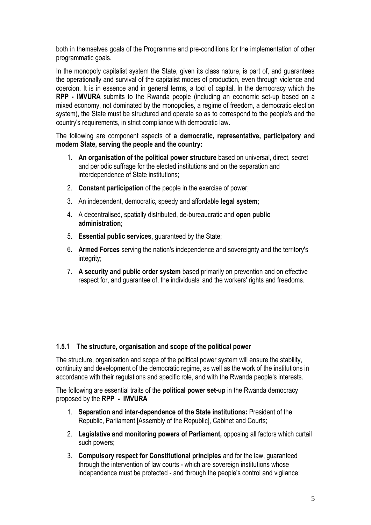both in themselves goals of the Programme and pre-conditions for the implementation of other programmatic goals.

In the monopoly capitalist system the State, given its class nature, is part of, and guarantees the operationally and survival of the capitalist modes of production, even through violence and coercion. It is in essence and in general terms, a tool of capital. In the democracy which the **RPP - IMVURA** submits to the Rwanda people (including an economic set-up based on a mixed economy, not dominated by the monopolies, a regime of freedom, a democratic election system), the State must be structured and operate so as to correspond to the people's and the country's requirements, in strict compliance with democratic law.

The following are component aspects of **a democratic, representative, participatory and modern State, serving the people and the country:**

- 1. **An organisation of the political power structure** based on universal, direct, secret and periodic suffrage for the elected institutions and on the separation and interdependence of State institutions;
- 2. **Constant participation** of the people in the exercise of power;
- 3. An independent, democratic, speedy and affordable **legal system**;
- 4. A decentralised, spatially distributed, de-bureaucratic and **open public administration**;
- 5. **Essential public services**, guaranteed by the State;
- 6. **Armed Forces** serving the nation's independence and sovereignty and the territory's integrity;
- 7. **A security and public order system** based primarily on prevention and on effective respect for, and guarantee of, the individuals' and the workers' rights and freedoms.

## **1.5.1 The structure, organisation and scope of the political power**

The structure, organisation and scope of the political power system will ensure the stability, continuity and development of the democratic regime, as well as the work of the institutions in accordance with their regulations and specific role, and with the Rwanda people's interests.

The following are essential traits of the **political power set-up** in the Rwanda democracy proposed by the **RPP - IMVURA**

- 1. **Separation and inter-dependence of the State institutions:** President of the Republic, Parliament [Assembly of the Republic], Cabinet and Courts;
- 2. **Legislative and monitoring powers of Parliament,** opposing all factors which curtail such powers;
- 3. **Compulsory respect for Constitutional principles** and for the law, guaranteed through the intervention of law courts - which are sovereign institutions whose independence must be protected - and through the people's control and vigilance;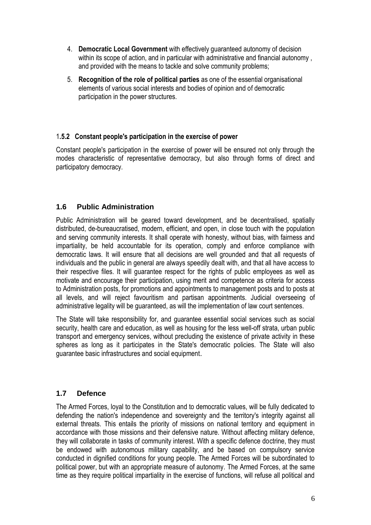- 4. **Democratic Local Government** with effectively guaranteed autonomy of decision within its scope of action, and in particular with administrative and financial autonomy , and provided with the means to tackle and solve community problems;
- 5. **Recognition of the role of political parties** as one of the essential organisational elements of various social interests and bodies of opinion and of democratic participation in the power structures.

## 1**.5.2 Constant people's participation in the exercise of power**

Constant people's participation in the exercise of power will be ensured not only through the modes characteristic of representative democracy, but also through forms of direct and participatory democracy.

# **1.6 Public Administration**

Public Administration will be geared toward development, and be decentralised, spatially distributed, de-bureaucratised, modern, efficient, and open, in close touch with the population and serving community interests. It shall operate with honesty, without bias, with fairness and impartiality, be held accountable for its operation, comply and enforce compliance with democratic laws. It will ensure that all decisions are well grounded and that all requests of individuals and the public in general are always speedily dealt with, and that all have access to their respective files. It will guarantee respect for the rights of public employees as well as motivate and encourage their participation, using merit and competence as criteria for access to Administration posts, for promotions and appointments to management posts and to posts at all levels, and will reject favouritism and partisan appointments. Judicial overseeing of administrative legality will be guaranteed, as will the implementation of law court sentences.

The State will take responsibility for, and guarantee essential social services such as social security, health care and education, as well as housing for the less well-off strata, urban public transport and emergency services, without precluding the existence of private activity in these spheres as long as it participates in the State's democratic policies. The State will also guarantee basic infrastructures and social equipment.

# **1.7 Defence**

The Armed Forces, loyal to the Constitution and to democratic values, will be fully dedicated to defending the nation's independence and sovereignty and the territory's integrity against all external threats. This entails the priority of missions on national territory and equipment in accordance with those missions and their defensive nature. Without affecting military defence, they will collaborate in tasks of community interest. With a specific defence doctrine, they must be endowed with autonomous military capability, and be based on compulsory service conducted in dignified conditions for young people. The Armed Forces will be subordinated to political power, but with an appropriate measure of autonomy. The Armed Forces, at the same time as they require political impartiality in the exercise of functions, will refuse all political and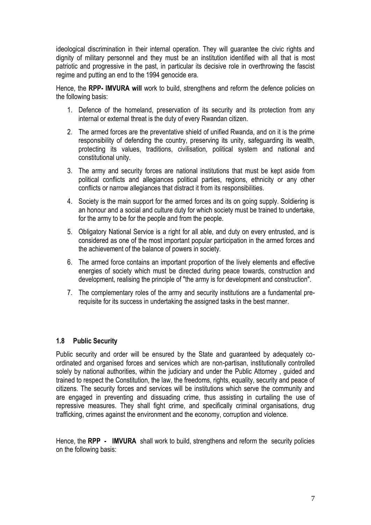ideological discrimination in their internal operation. They will guarantee the civic rights and dignity of military personnel and they must be an institution identified with all that is most patriotic and progressive in the past, in particular its decisive role in overthrowing the fascist regime and putting an end to the 1994 genocide era.

Hence, the **RPP- IMVURA will** work to build, strengthens and reform the defence policies on the following basis:

- 1. Defence of the homeland, preservation of its security and its protection from any internal or external threat is the duty of every Rwandan citizen.
- 2. The armed forces are the preventative shield of unified Rwanda, and on it is the prime responsibility of defending the country, preserving its unity, safeguarding its wealth, protecting its values, traditions, civilisation, political system and national and constitutional unity.
- 3. The army and security forces are national institutions that must be kept aside from political conflicts and allegiances political parties, regions, ethnicity or any other conflicts or narrow allegiances that distract it from its responsibilities.
- 4. Society is the main support for the armed forces and its on going supply. Soldiering is an honour and a social and culture duty for which society must be trained to undertake, for the army to be for the people and from the people.
- 5. Obligatory National Service is a right for all able, and duty on every entrusted, and is considered as one of the most important popular participation in the armed forces and the achievement of the balance of powers in society.
- 6. The armed force contains an important proportion of the lively elements and effective energies of society which must be directed during peace towards, construction and development, realising the principle of "the army is for development and construction".
- 7. The complementary roles of the army and security institutions are a fundamental prerequisite for its success in undertaking the assigned tasks in the best manner.

## **1.8 Public Security**

Public security and order will be ensured by the State and guaranteed by adequately coordinated and organised forces and services which are non-partisan, institutionally controlled solely by national authorities, within the judiciary and under the Public Attorney, guided and trained to respect the Constitution, the law, the freedoms, rights, equality, security and peace of citizens. The security forces and services will be institutions which serve the community and are engaged in preventing and dissuading crime, thus assisting in curtailing the use of repressive measures. They shall fight crime, and specifically criminal organisations, drug trafficking, crimes against the environment and the economy, corruption and violence.

Hence, the **RPP - IMVURA** shall work to build, strengthens and reform the security policies on the following basis: